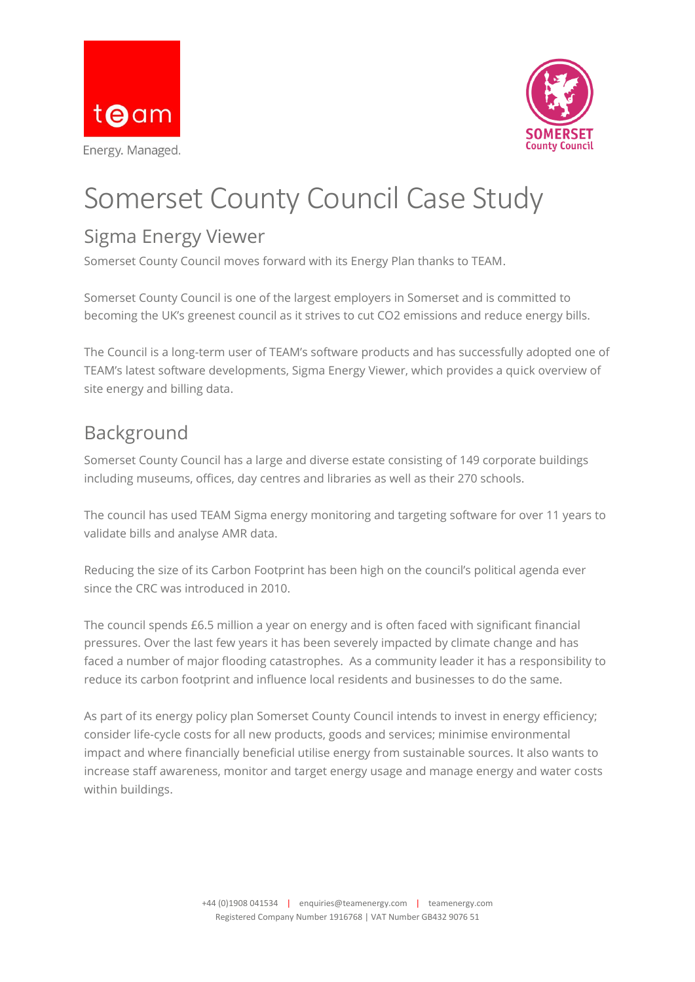



# Somerset County Council Case Study

#### Sigma Energy Viewer

Somerset County Council moves forward with its Energy Plan thanks to TEAM.

Somerset County Council is one of the largest employers in Somerset and is committed to becoming the UK's greenest council as it strives to cut CO2 emissions and reduce energy bills.

The Council is a long-term user of TEAM's software products and has successfully adopted one of TEAM's latest software developments, Sigma Energy Viewer, which provides a quick overview of site energy and billing data.

## Background

Somerset County Council has a large and diverse estate consisting of 149 corporate buildings including museums, offices, day centres and libraries as well as their 270 schools.

The council has used TEAM Sigma energy monitoring and targeting software for over 11 years to validate bills and analyse AMR data.

Reducing the size of its Carbon Footprint has been high on the council's political agenda ever since the CRC was introduced in 2010.

The council spends £6.5 million a year on energy and is often faced with significant financial pressures. Over the last few years it has been severely impacted by climate change and has faced a number of major flooding catastrophes. As a community leader it has a responsibility to reduce its carbon footprint and influence local residents and businesses to do the same.

As part of its energy policy plan Somerset County Council intends to invest in energy efficiency; consider life-cycle costs for all new products, goods and services; minimise environmental impact and where financially beneficial utilise energy from sustainable sources. It also wants to increase staff awareness, monitor and target energy usage and manage energy and water costs within buildings.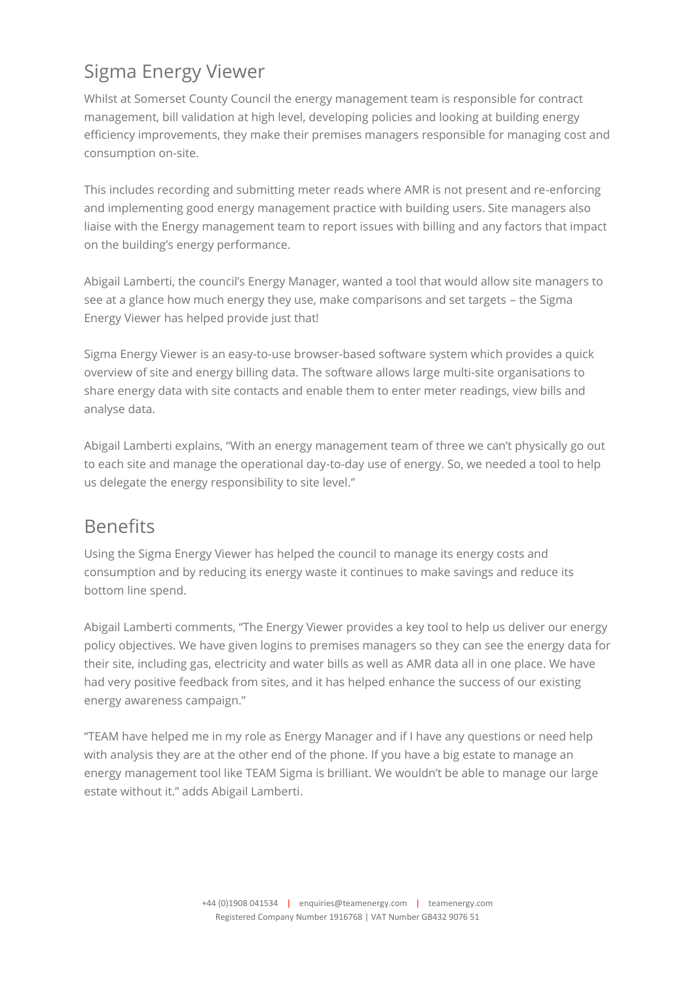# Sigma Energy Viewer

Whilst at Somerset County Council the energy management team is responsible for contract management, bill validation at high level, developing policies and looking at building energy efficiency improvements, they make their premises managers responsible for managing cost and consumption on-site.

This includes recording and submitting meter reads where AMR is not present and re-enforcing and implementing good energy management practice with building users. Site managers also liaise with the Energy management team to report issues with billing and any factors that impact on the building's energy performance.

Abigail Lamberti, the council's Energy Manager, wanted a tool that would allow site managers to see at a glance how much energy they use, make comparisons and set targets – the Sigma Energy Viewer has helped provide just that!

Sigma Energy Viewer is an easy-to-use browser-based software system which provides a quick overview of site and energy billing data. The software allows large multi-site organisations to share energy data with site contacts and enable them to enter meter readings, view bills and analyse data.

Abigail Lamberti explains, "With an energy management team of three we can't physically go out to each site and manage the operational day-to-day use of energy. So, we needed a tool to help us delegate the energy responsibility to site level."

## **Benefits**

Using the Sigma Energy Viewer has helped the council to manage its energy costs and consumption and by reducing its energy waste it continues to make savings and reduce its bottom line spend.

Abigail Lamberti comments, "The Energy Viewer provides a key tool to help us deliver our energy policy objectives. We have given logins to premises managers so they can see the energy data for their site, including gas, electricity and water bills as well as AMR data all in one place. We have had very positive feedback from sites, and it has helped enhance the success of our existing energy awareness campaign."

"TEAM have helped me in my role as Energy Manager and if I have any questions or need help with analysis they are at the other end of the phone. If you have a big estate to manage an energy management tool like TEAM Sigma is brilliant. We wouldn't be able to manage our large estate without it." adds Abigail Lamberti.